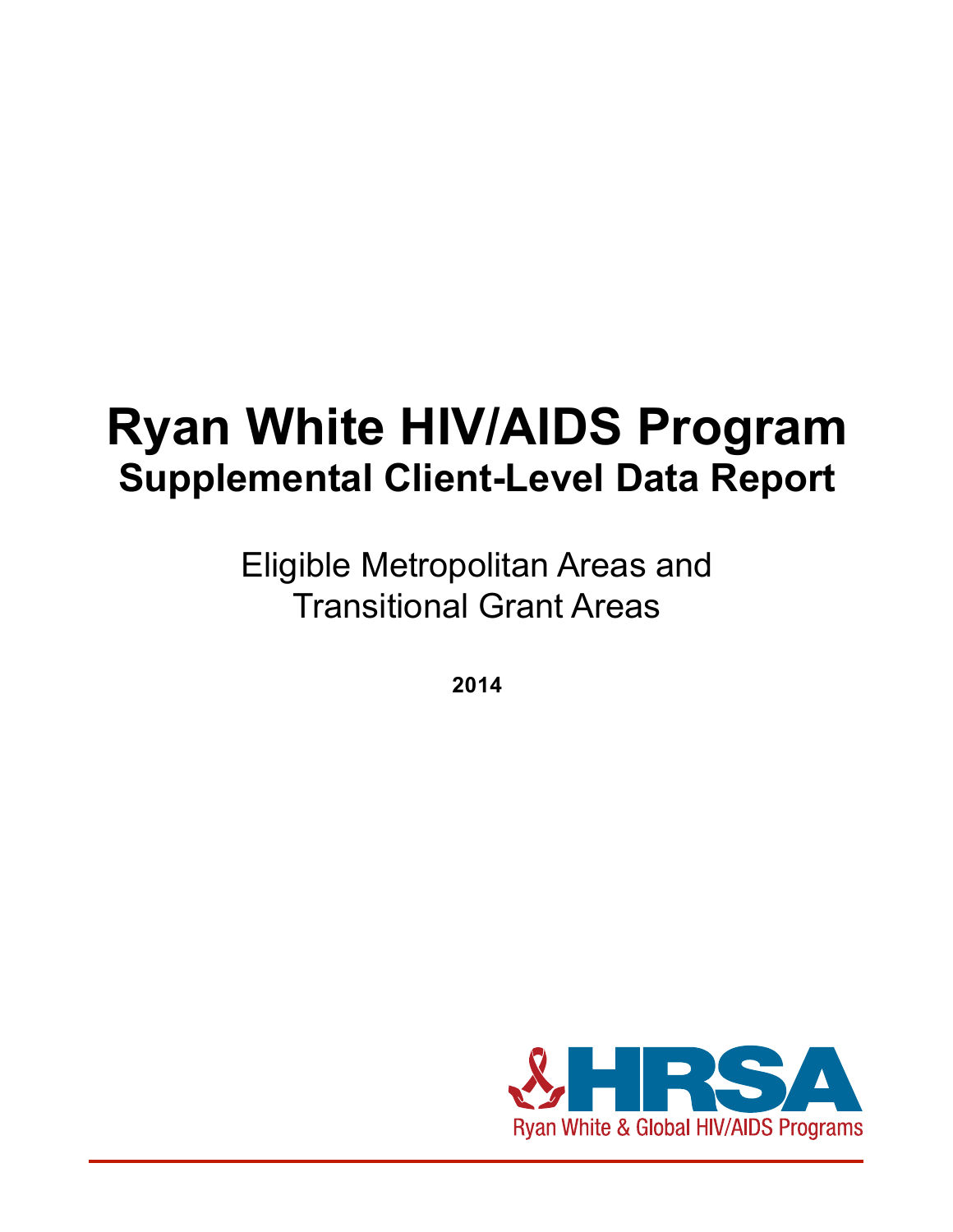# **Ryan White HIV/AIDS Program Supplemental Client-Level Data Report**

Eligible Metropolitan Areas and Transitional Grant Areas

**2014**

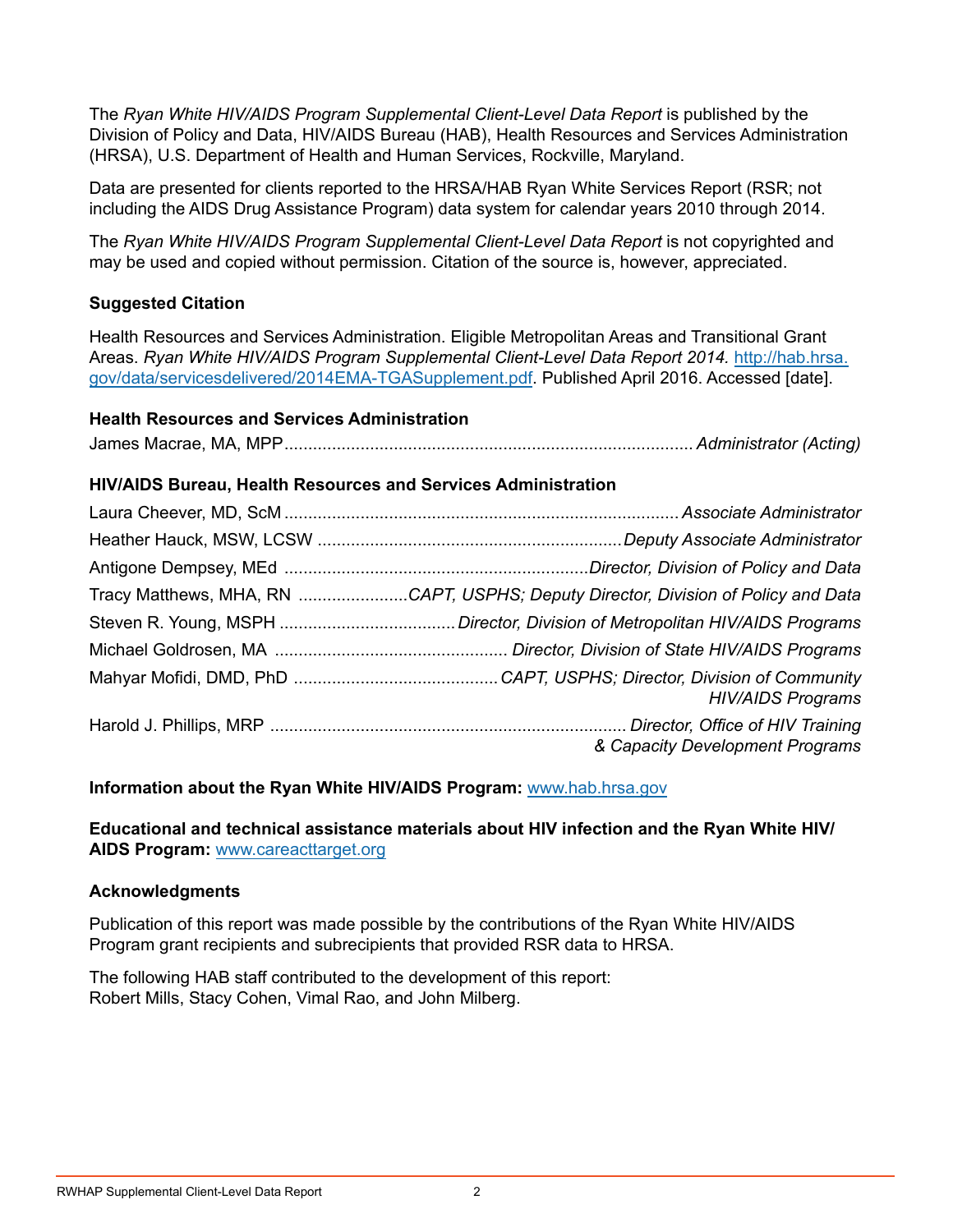The *Ryan White HIV/AIDS Program Supplemental Client-Level Data Report* is published by the Division of Policy and Data, HIV/AIDS Bureau (HAB), Health Resources and Services Administration (HRSA), U.S. Department of Health and Human Services, Rockville, Maryland.

Data are presented for clients reported to the HRSA/HAB Ryan White Services Report (RSR; not including the AIDS Drug Assistance Program) data system for calendar years 2010 through 2014.

The *Ryan White HIV/AIDS Program Supplemental Client-Level Data Report* is not copyrighted and may be used and copied without permission. Citation of the source is, however, appreciated.

#### **Suggested Citation**

Health Resources and Services Administration. Eligible Metropolitan Areas and Transitional Grant Areas. *Ryan White HIV/AIDS Program Supplemental Client-Level Data Report 2014.* [http://hab.hrsa.](http://hab.hrsa.gov/data/servicesdelivered/2014rwhapdatareport.pdf) [gov/data/servicesdelivered/2014EMA-TGASupplement.pdf](http://hab.hrsa.gov/data/servicesdelivered/2014rwhapdatareport.pdf). Published April 2016. Accessed [date].

#### **Health Resources and Services Administration**

James Macrae, MA, MPP...................................................................................... *Administrator (Acting)*

#### **HIV/AIDS Bureau, Health Resources and Services Administration**

| Tracy Matthews, MHA, RN CAPT, USPHS; Deputy Director, Division of Policy and Data |
|-----------------------------------------------------------------------------------|
|                                                                                   |
|                                                                                   |
| <b>HIV/AIDS Programs</b>                                                          |
| & Capacity Development Programs                                                   |

#### **Information about the Ryan White HIV/AIDS Program:** www.[hab.hrsa.gov](http://hab.hrsa.gov/)

**Educational and technical assistance materials about HIV infection and the Ryan White HIV/ AIDS Program:** [www.careacttarget.org](https://careacttarget.org/)

#### **Acknowledgments**

Publication of this report was made possible by the contributions of the Ryan White HIV/AIDS Program grant recipients and subrecipients that provided RSR data to HRSA.

The following HAB staff contributed to the development of this report: Robert Mills, Stacy Cohen, Vimal Rao, and John Milberg.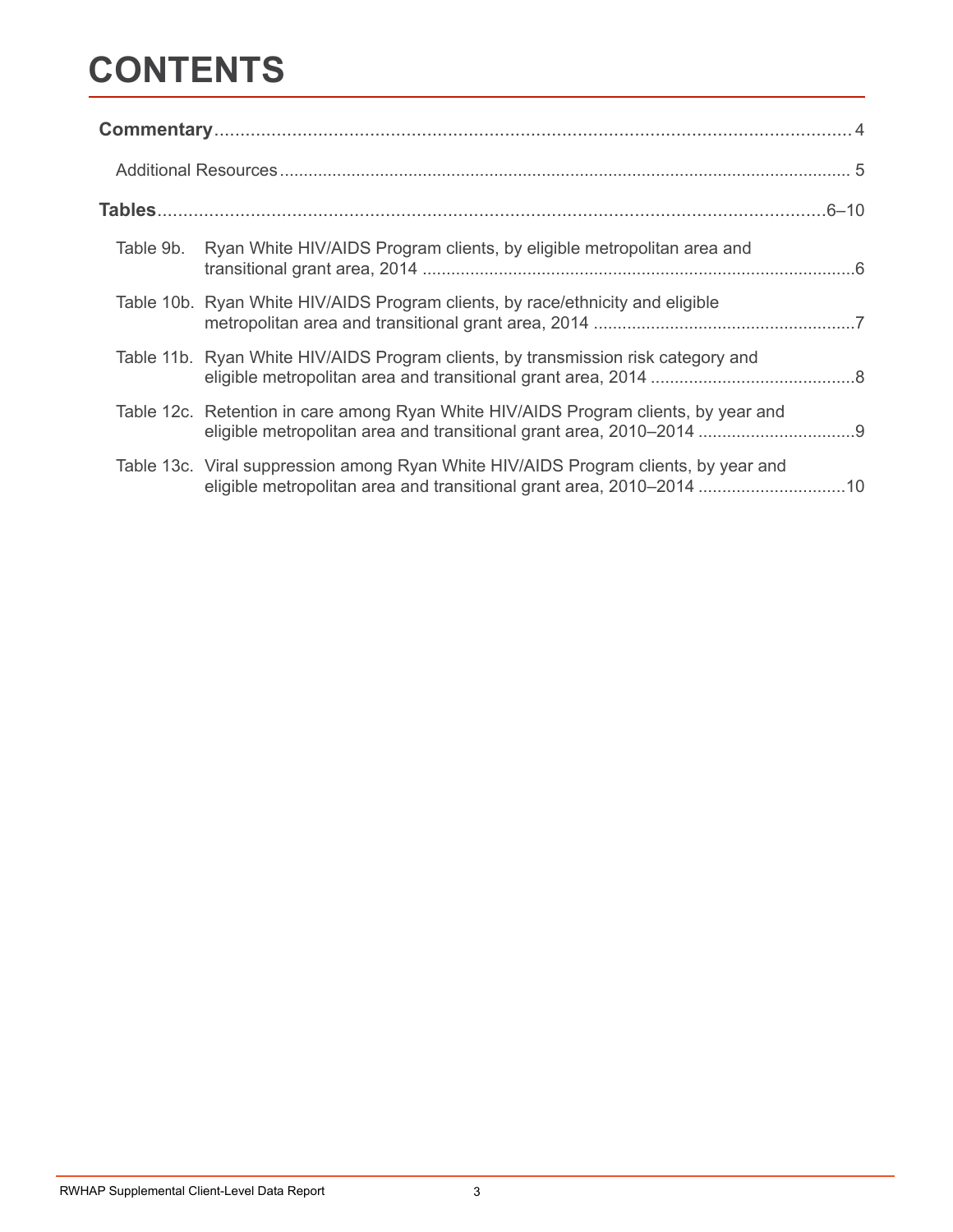## **CONTENTS**

| Table 9b. Ryan White HIV/AIDS Program clients, by eligible metropolitan area and                                                                         |  |
|----------------------------------------------------------------------------------------------------------------------------------------------------------|--|
| Table 10b. Ryan White HIV/AIDS Program clients, by race/ethnicity and eligible                                                                           |  |
| Table 11b. Ryan White HIV/AIDS Program clients, by transmission risk category and                                                                        |  |
| Table 12c. Retention in care among Ryan White HIV/AIDS Program clients, by year and                                                                      |  |
| Table 13c. Viral suppression among Ryan White HIV/AIDS Program clients, by year and<br>eligible metropolitan area and transitional grant area, 2010–2014 |  |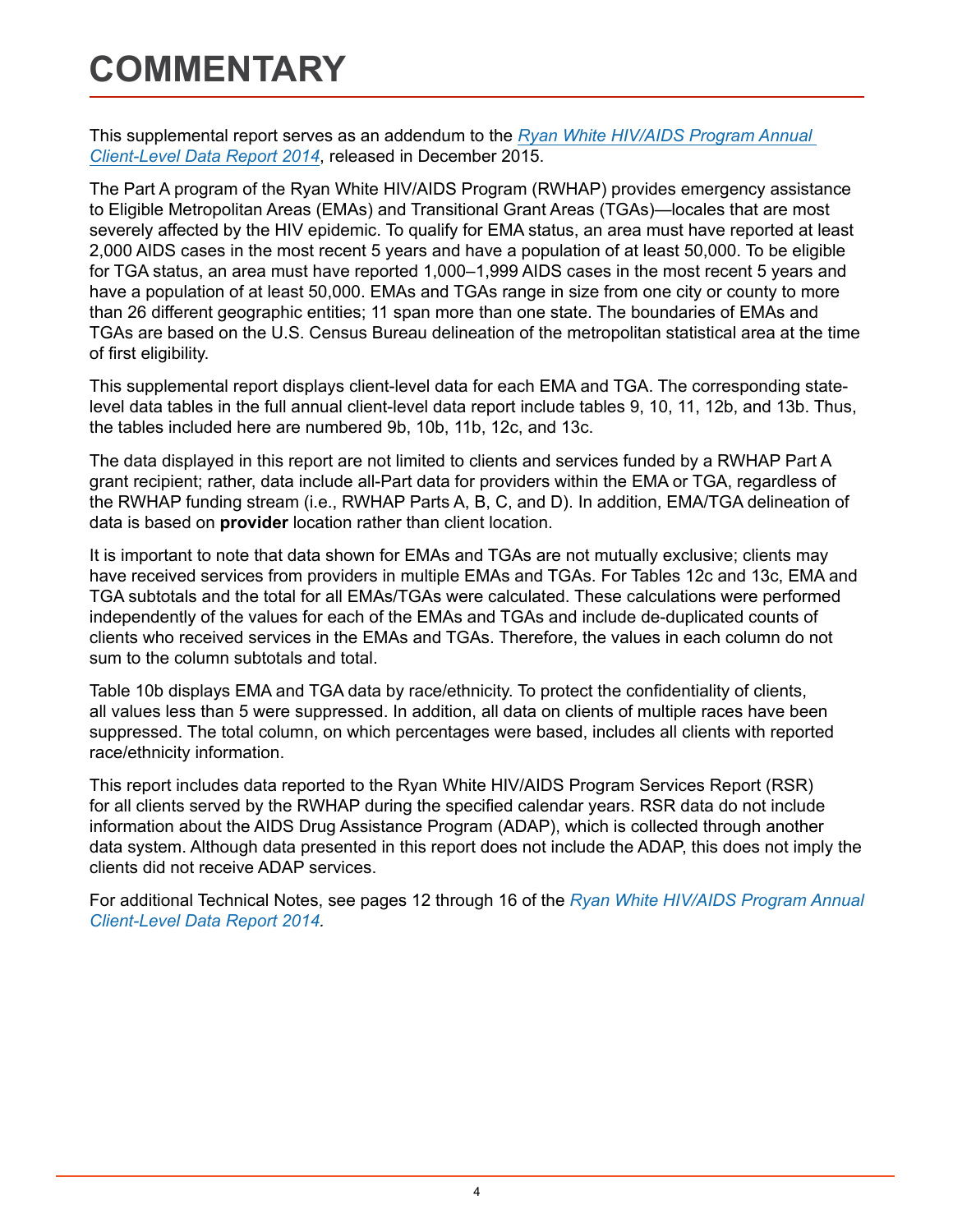## <span id="page-3-0"></span>**COMMENTARY**

This supplemental report serves as an addendum to the *[Ryan White HIV/AIDS Program Annual](http://hab.hrsa.gov/data/servicesdelivered/2014rwhapdatareport.pdf)  [Client-Level Data Report 2014](http://hab.hrsa.gov/data/servicesdelivered/2014rwhapdatareport.pdf)*, released in December 2015.

The Part A program of the Ryan White HIV/AIDS Program (RWHAP) provides emergency assistance to Eligible Metropolitan Areas (EMAs) and Transitional Grant Areas (TGAs)—locales that are most severely affected by the HIV epidemic. To qualify for EMA status, an area must have reported at least 2,000 AIDS cases in the most recent 5 years and have a population of at least 50,000. To be eligible for TGA status, an area must have reported 1,000–1,999 AIDS cases in the most recent 5 years and have a population of at least 50,000. EMAs and TGAs range in size from one city or county to more than 26 different geographic entities; 11 span more than one state. The boundaries of EMAs and TGAs are based on the U.S. Census Bureau delineation of the metropolitan statistical area at the time of first eligibility.

This supplemental report displays client-level data for each EMA and TGA. The corresponding statelevel data tables in the full annual client-level data report include tables 9, 10, 11, 12b, and 13b. Thus, the tables included here are numbered 9b, 10b, 11b, 12c, and 13c.

The data displayed in this report are not limited to clients and services funded by a RWHAP Part A grant recipient; rather, data include all-Part data for providers within the EMA or TGA, regardless of the RWHAP funding stream (i.e., RWHAP Parts A, B, C, and D). In addition, EMA/TGA delineation of data is based on **provider** location rather than client location.

It is important to note that data shown for EMAs and TGAs are not mutually exclusive; clients may have received services from providers in multiple EMAs and TGAs. For Tables 12c and 13c, EMA and TGA subtotals and the total for all EMAs/TGAs were calculated. These calculations were performed independently of the values for each of the EMAs and TGAs and include de-duplicated counts of clients who received services in the EMAs and TGAs. Therefore, the values in each column do not sum to the column subtotals and total.

Table 10b displays EMA and TGA data by race/ethnicity. To protect the confidentiality of clients, all values less than 5 were suppressed. In addition, all data on clients of multiple races have been suppressed. The total column, on which percentages were based, includes all clients with reported race/ethnicity information.

This report includes data reported to the Ryan White HIV/AIDS Program Services Report (RSR) for all clients served by the RWHAP during the specified calendar years. RSR data do not include information about the AIDS Drug Assistance Program (ADAP), which is collected through another data system. Although data presented in this report does not include the ADAP, this does not imply the clients did not receive ADAP services.

For additional Technical Notes, see pages 12 through 16 of the *[Ryan White HIV/AIDS Program Annual](http://hab.hrsa.gov/data/servicesdelivered/2014rwhapdatareport.pdf) [Client-Level Data Report 2014.](http://hab.hrsa.gov/data/servicesdelivered/2014rwhapdatareport.pdf)*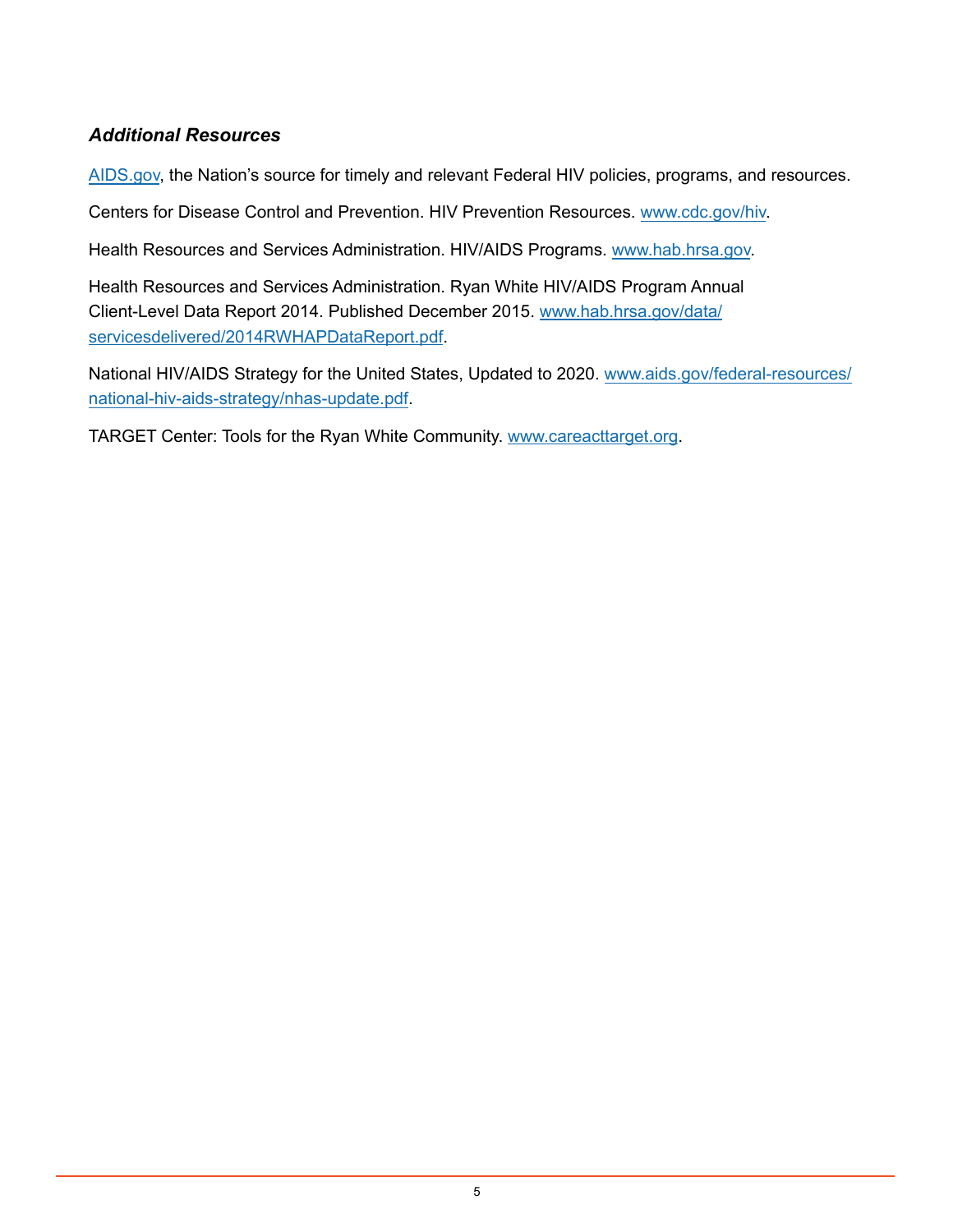### *Additional Resources*

[AIDS.gov,](https://www.aids.gov/) the Nation's source for timely and relevant Federal HIV policies, programs, and resources.

Centers for Disease Control and Prevention. HIV Prevention Resources. [www.cdc.gov/hiv](http://www.cdc.gov/hiv).

Health Resources and Services Administration. HIV/AIDS Programs. [www.hab.hrsa.gov](http://hab.hrsa.gov/).

Health Resources and Services Administration. [Ryan White HIV/AIDS Program Annual](http://www.hab.hrsa.gov/data/servicesdelivered/2014RWHAPDataReport.pdf)  [Client-Level Data Report 2014.](http://www.hab.hrsa.gov/data/servicesdelivered/2014RWHAPDataReport.pdf) Published December 2015. [www.hab.hrsa.gov/data/](http://hab.hrsa.gov/data/servicesdelivered/2014RWHAPDataReport.pdf) [servicesdelivered/2014RWHAPDataReport.pdf.](http://hab.hrsa.gov/data/servicesdelivered/2014RWHAPDataReport.pdf)

[National HIV/AIDS Strategy for the United States, Updated to 2020](https://www.aids.gov/federal-resources/national-hiv-aids-strategy/nhas-update.pdf). [www.aids.gov/federal-resources/](https://www.aids.gov/federal-resources/national-hiv-aids-strategy/nhas-update.pdf) [national-hiv-aids-strategy/nhas-update.pdf](https://www.aids.gov/federal-resources/national-hiv-aids-strategy/nhas-update.pdf).

[TARGET Center: Tools for the Ryan White Community](https://www.careacttarget.org/). [www.careacttarget.org.](https://careacttarget.org/)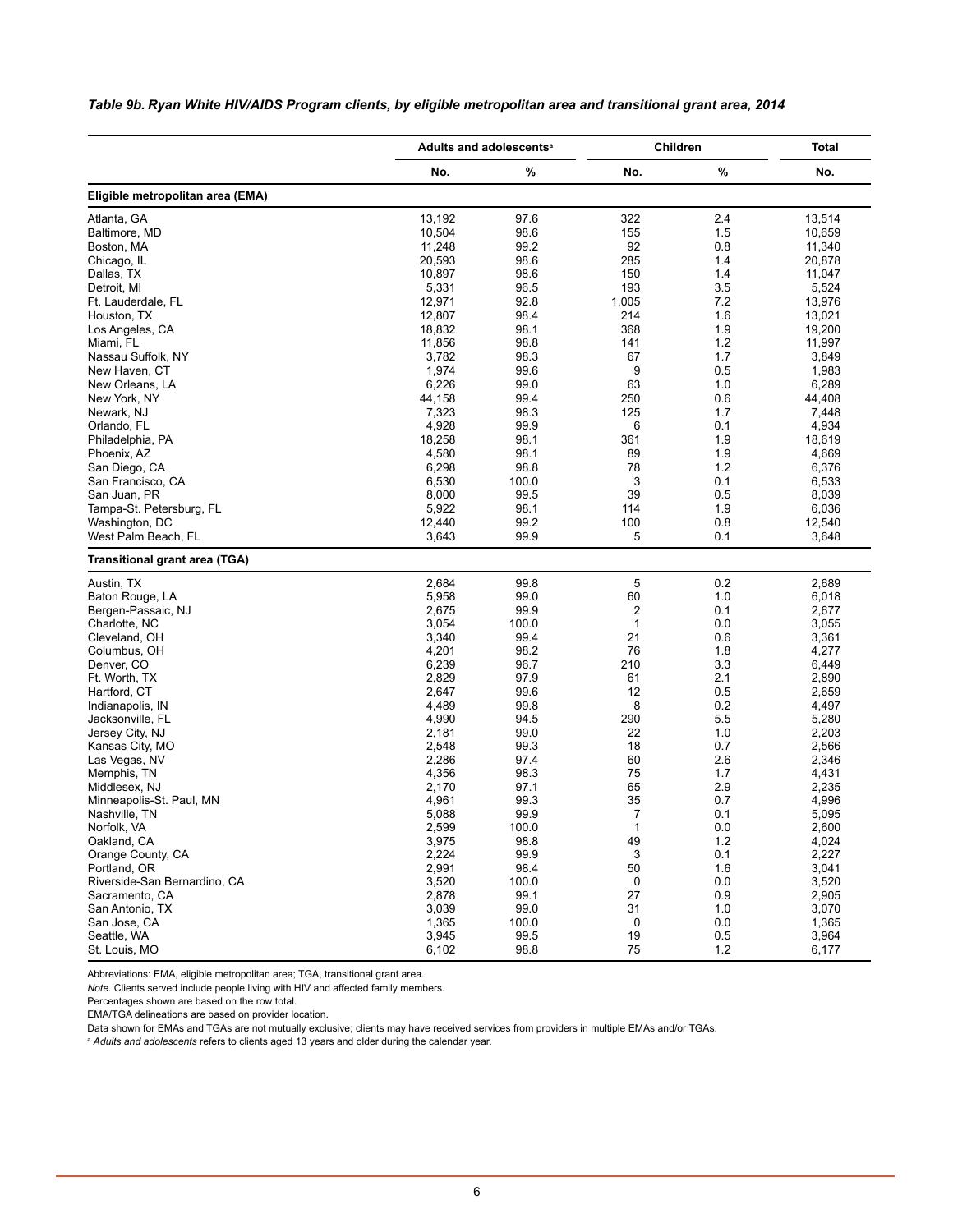<span id="page-5-0"></span>*Table 9b. Ryan White HIV/AIDS Program clients, by eligible metropolitan area and transitional grant area, 2014*

|                                  |        | Adults and adolescents <sup>a</sup> | Children       | <b>Total</b> |        |  |
|----------------------------------|--------|-------------------------------------|----------------|--------------|--------|--|
|                                  | No.    | %                                   | No.            | $\%$         | No.    |  |
| Eligible metropolitan area (EMA) |        |                                     |                |              |        |  |
| Atlanta, GA                      | 13,192 | 97.6                                | 322            | 2.4          | 13,514 |  |
| Baltimore, MD                    | 10,504 | 98.6                                | 155            | 1.5          | 10,659 |  |
| Boston, MA                       | 11,248 | 99.2                                | 92             | 0.8          | 11,340 |  |
| Chicago, IL                      | 20,593 | 98.6                                | 285            | 1.4          | 20,878 |  |
| Dallas, TX                       | 10,897 | 98.6                                | 150            | 1.4          | 11,047 |  |
| Detroit, MI                      | 5,331  | 96.5                                | 193            | 3.5          | 5,524  |  |
| Ft. Lauderdale, FL               | 12,971 | 92.8                                | 1,005          | 7.2          | 13,976 |  |
| Houston, TX                      | 12,807 | 98.4                                | 214            | 1.6          | 13,021 |  |
|                                  |        | 98.1                                | 368            |              |        |  |
| Los Angeles, CA                  | 18,832 |                                     |                | 1.9          | 19,200 |  |
| Miami, FL                        | 11,856 | 98.8                                | 141            | 1.2          | 11,997 |  |
| Nassau Suffolk, NY               | 3,782  | 98.3                                | 67             | 1.7          | 3,849  |  |
| New Haven, CT                    | 1,974  | 99.6                                | 9              | 0.5          | 1,983  |  |
| New Orleans, LA                  | 6,226  | 99.0                                | 63             | 1.0          | 6,289  |  |
| New York, NY                     | 44,158 | 99.4                                | 250            | 0.6          | 44,408 |  |
| Newark, NJ                       | 7,323  | 98.3                                | 125            | 1.7          | 7,448  |  |
| Orlando, FL                      | 4,928  | 99.9                                | 6              | 0.1          | 4,934  |  |
| Philadelphia, PA                 | 18,258 | 98.1                                | 361            | 1.9          | 18,619 |  |
| Phoenix, AZ                      | 4,580  | 98.1                                | 89             | 1.9          | 4,669  |  |
| San Diego, CA                    | 6,298  | 98.8                                | 78             | 1.2          | 6,376  |  |
| San Francisco, CA                | 6,530  | 100.0                               | 3              | 0.1          | 6,533  |  |
| San Juan, PR                     | 8,000  | 99.5                                | 39             | 0.5          | 8,039  |  |
| Tampa-St. Petersburg, FL         | 5,922  | 98.1                                | 114            | 1.9          | 6,036  |  |
| Washington, DC                   | 12,440 | 99.2                                | 100            | 0.8          | 12,540 |  |
| West Palm Beach, FL              |        | 99.9                                | 5              | 0.1          | 3,648  |  |
|                                  | 3,643  |                                     |                |              |        |  |
| Transitional grant area (TGA)    |        |                                     |                |              |        |  |
| Austin, TX                       | 2,684  | 99.8                                | 5              | 0.2          | 2,689  |  |
| Baton Rouge, LA                  | 5,958  | 99.0                                | 60             | 1.0          | 6,018  |  |
| Bergen-Passaic, NJ               | 2,675  | 99.9                                | 2              | 0.1          | 2,677  |  |
| Charlotte, NC                    | 3,054  | 100.0                               | 1              | 0.0          | 3,055  |  |
| Cleveland, OH                    | 3,340  | 99.4                                | 21             | 0.6          | 3,361  |  |
| Columbus, OH                     | 4,201  | 98.2                                | 76             | 1.8          | 4,277  |  |
| Denver, CO                       | 6,239  | 96.7                                | 210            | 3.3          | 6,449  |  |
| Ft. Worth, TX                    | 2,829  | 97.9                                | 61             | 2.1          | 2,890  |  |
| Hartford, CT                     | 2,647  | 99.6                                | 12             | 0.5          | 2,659  |  |
| Indianapolis, IN                 | 4,489  | 99.8                                | 8              | 0.2          | 4,497  |  |
| Jacksonville, FL                 | 4,990  | 94.5                                | 290            | 5.5          | 5,280  |  |
| Jersey City, NJ                  | 2,181  | 99.0                                | 22             | 1.0          | 2,203  |  |
| Kansas City, MO                  | 2,548  | 99.3                                | 18             | 0.7          | 2,566  |  |
|                                  | 2,286  |                                     |                |              |        |  |
| Las Vegas, NV                    |        | 97.4                                | 60             | 2.6          | 2,346  |  |
| Memphis, TN                      | 4,356  | 98.3                                | 75             | 1.7          | 4,431  |  |
| Middlesex, NJ                    | 2,170  | 97.1                                | 65             | 2.9          | 2,235  |  |
| Minneapolis-St. Paul, MN         | 4,961  | 99.3                                | 35             | 0.7          | 4,996  |  |
| Nashville, TN                    | 5,088  | 99.9                                | $\overline{7}$ | 0.1          | 5,095  |  |
| Norfolk, VA                      | 2,599  | 100.0                               | 1              | 0.0          | 2,600  |  |
| Oakland, CA                      | 3,975  | 98.8                                | 49             | 1.2          | 4,024  |  |
| Orange County, CA                | 2,224  | 99.9                                | 3              | 0.1          | 2,227  |  |
| Portland, OR                     | 2,991  | 98.4                                | 50             | 1.6          | 3,041  |  |
| Riverside-San Bernardino, CA     | 3,520  | 100.0                               | 0              | 0.0          | 3,520  |  |
| Sacramento, CA                   | 2,878  | 99.1                                | 27             | 0.9          | 2,905  |  |
| San Antonio, TX                  | 3,039  | 99.0                                | 31             | 1.0          | 3,070  |  |
| San Jose, CA                     | 1,365  | 100.0                               | 0              | 0.0          | 1,365  |  |
| Seattle, WA                      | 3,945  | 99.5                                | 19             | 0.5          | 3,964  |  |
| St. Louis, MO                    | 6,102  | 98.8                                | 75             | 1.2          | 6,177  |  |

Abbreviations: EMA, eligible metropolitan area; TGA, transitional grant area.

*Note.* Clients served include people living with HIV and affected family members.

Percentages shown are based on the row total.

EMA/TGA delineations are based on provider location.

Data shown for EMAs and TGAs are not mutually exclusive; clients may have received services from providers in multiple EMAs and/or TGAs.

<sup>a</sup> *Adults and adolescents* refers to clients aged 13 years and older during the calendar year.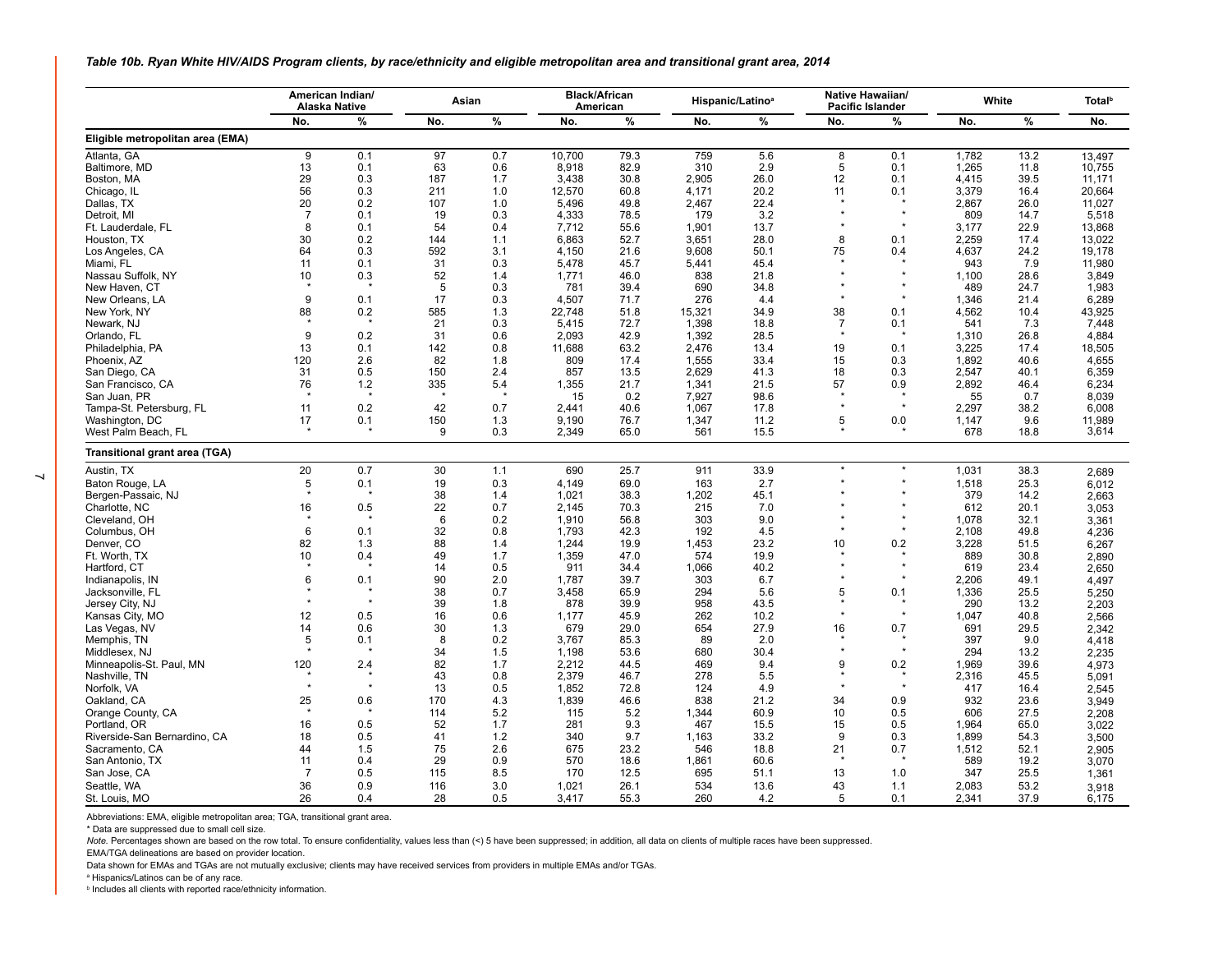<span id="page-6-0"></span>*Table 10b. Ryan White HIV/AIDS Program clients, by race/ethnicity and eligible metropolitan area and transitional grant area, 2014*

|                                  | American Indian/<br><b>Alaska Native</b> |         | Asian |      |        | <b>Black/African</b><br>American |        | Hispanic/Latino <sup>a</sup> |                | Native Hawaiian/<br><b>Pacific Islander</b> |       | White |        |
|----------------------------------|------------------------------------------|---------|-------|------|--------|----------------------------------|--------|------------------------------|----------------|---------------------------------------------|-------|-------|--------|
|                                  | No.                                      | $\%$    | No.   | $\%$ | No.    | %                                | No.    | $\%$                         | No.            | %                                           | No.   | $\%$  | No.    |
| Eligible metropolitan area (EMA) |                                          |         |       |      |        |                                  |        |                              |                |                                             |       |       |        |
| Atlanta, GA                      | 9                                        | 0.1     | 97    | 0.7  | 10,700 | 79.3                             | 759    | 5.6                          | 8              | 0.1                                         | 1,782 | 13.2  | 13,497 |
| Baltimore, MD                    | 13                                       | 0.1     | 63    | 0.6  | 8,918  | 82.9                             | 310    | 2.9                          | 5              | 0.1                                         | 1,265 | 11.8  | 10,755 |
| Boston, MA                       | 29                                       | 0.3     | 187   | 1.7  | 3,438  | 30.8                             | 2,905  | 26.0                         | 12             | 0.1                                         | 4,415 | 39.5  | 11,171 |
| Chicago, IL                      | 56                                       | 0.3     | 211   | 1.0  | 12,570 | 60.8                             | 4,171  | 20.2                         | 11             | 0.1                                         | 3,379 | 16.4  | 20,664 |
| Dallas, TX                       | 20                                       | 0.2     | 107   | 1.0  | 5,496  | 49.8                             | 2,467  | 22.4                         |                |                                             | 2,867 | 26.0  | 11,027 |
| Detroit, MI                      | $\overline{7}$                           | 0.1     | 19    | 0.3  | 4.333  | 78.5                             | 179    | 3.2                          |                | $\star$                                     | 809   | 14.7  | 5,518  |
| Ft. Lauderdale, FL               | 8                                        | 0.1     | 54    | 0.4  | 7,712  | 55.6                             | 1,901  | 13.7                         |                | $\star$                                     | 3,177 | 22.9  | 13,868 |
| Houston, TX                      | 30                                       | 0.2     | 144   | 1.1  | 6.863  | 52.7                             | 3.651  | 28.0                         | 8              | 0.1                                         | 2.259 | 17.4  | 13.022 |
| Los Angeles, CA                  | 64                                       | 0.3     | 592   | 3.1  | 4,150  | 21.6                             | 9,608  | 50.1                         | 75             | 0.4                                         | 4,637 | 24.2  | 19.178 |
| Miami, FL                        | 11                                       | 0.1     | 31    | 0.3  | 5.478  | 45.7                             | 5.441  | 45.4                         |                |                                             | 943   | 7.9   | 11.980 |
| Nassau Suffolk, NY               | 10                                       | 0.3     | 52    | 1.4  | 1,771  | 46.0                             | 838    | 21.8                         |                | $\star$                                     | 1,100 | 28.6  | 3,849  |
| New Haven, CT                    |                                          |         | 5     | 0.3  | 781    | 39.4                             | 690    | 34.8                         |                | $\star$                                     | 489   | 24.7  | 1,983  |
| New Orleans, LA                  | 9                                        | 0.1     | 17    | 0.3  | 4,507  | 71.7                             | 276    | 4.4                          |                | $\star$                                     | 1,346 | 21.4  | 6,289  |
| New York, NY                     | 88                                       | 0.2     | 585   | 1.3  | 22,748 | 51.8                             | 15,321 | 34.9                         | 38             | 0.1                                         | 4,562 | 10.4  | 43,925 |
| Newark, NJ                       |                                          |         | 21    | 0.3  | 5,415  | 72.7                             | 1,398  | 18.8                         | $\overline{7}$ | 0.1                                         | 541   | 7.3   | 7,448  |
| Orlando, FL                      | 9                                        | 0.2     | 31    | 0.6  | 2.093  | 42.9                             | 1,392  | 28.5                         |                |                                             | 1,310 | 26.8  | 4.884  |
| Philadelphia, PA                 | 13                                       | 0.1     | 142   | 0.8  | 11,688 | 63.2                             | 2,476  | 13.4                         | 19             | 0.1                                         | 3,225 | 17.4  | 18,505 |
| Phoenix, AZ                      | 120                                      | 2.6     | 82    | 1.8  | 809    | 17.4                             | 1,555  | 33.4                         | 15             | 0.3                                         | 1,892 | 40.6  | 4.655  |
| San Diego, CA                    | 31                                       | 0.5     | 150   | 2.4  | 857    | 13.5                             | 2,629  | 41.3                         | 18             | 0.3                                         | 2,547 | 40.1  | 6,359  |
| San Francisco, CA                | 76                                       | 1.2     | 335   | 5.4  | 1,355  | 21.7                             | 1,341  | 21.5                         | 57             | 0.9                                         | 2.892 | 46.4  | 6.234  |
| San Juan, PR                     |                                          |         |       |      | 15     | 0.2                              | 7,927  | 98.6                         |                |                                             | 55    | 0.7   | 8,039  |
| Tampa-St. Petersburg, FL         | 11                                       | 0.2     | 42    | 0.7  | 2.441  | 40.6                             | 1.067  | 17.8                         |                | $\star$                                     | 2,297 | 38.2  | 6.008  |
| Washington, DC                   | 17                                       | 0.1     | 150   | 1.3  | 9,190  | 76.7                             | 1,347  | 11.2                         | 5              | 0.0                                         | 1,147 | 9.6   | 11,989 |
| West Palm Beach, FL              |                                          |         | 9     | 0.3  | 2,349  | 65.0                             | 561    | 15.5                         |                |                                             | 678   | 18.8  | 3,614  |
|                                  |                                          |         |       |      |        |                                  |        |                              |                |                                             |       |       |        |
| Transitional grant area (TGA)    |                                          |         |       |      |        |                                  |        |                              |                |                                             |       |       |        |
| Austin, TX                       | 20                                       | 0.7     | 30    | 1.1  | 690    | 25.7                             | 911    | 33.9                         |                | $\star$                                     | 1.031 | 38.3  | 2,689  |
| Baton Rouge, LA                  | 5                                        | 0.1     | 19    | 0.3  | 4,149  | 69.0                             | 163    | 2.7                          |                |                                             | 1,518 | 25.3  | 6,012  |
| Bergen-Passaic, NJ               |                                          |         | 38    | 1.4  | 1,021  | 38.3                             | 1,202  | 45.1                         |                |                                             | 379   | 14.2  | 2,663  |
| Charlotte, NC                    | 16                                       | 0.5     | 22    | 0.7  | 2,145  | 70.3                             | 215    | 7.0                          |                |                                             | 612   | 20.1  | 3.053  |
| Cleveland, OH                    |                                          |         | 6     | 0.2  | 1,910  | 56.8                             | 303    | 9.0                          |                | $\star$                                     | 1,078 | 32.1  | 3,361  |
| Columbus, OH                     | 6                                        | 0.1     | 32    | 0.8  | 1.793  | 42.3                             | 192    | 4.5                          |                |                                             | 2,108 | 49.8  | 4.236  |
| Denver, CO                       | 82                                       | 1.3     | 88    | 1.4  | 1,244  | 19.9                             | 1,453  | 23.2                         | 10             | 0.2                                         | 3,228 | 51.5  | 6,267  |
| Ft. Worth, TX                    | 10                                       | 0.4     | 49    | 1.7  | 1,359  | 47.0                             | 574    | 19.9                         |                | $\star$                                     | 889   | 30.8  | 2,890  |
| Hartford, CT                     |                                          |         | 14    | 0.5  | 911    | 34.4                             | 1,066  | 40.2                         |                | $\star$                                     | 619   | 23.4  | 2.650  |
| Indianapolis, IN                 | 6                                        | 0.1     | 90    | 2.0  | 1,787  | 39.7                             | 303    | 6.7                          |                | $\star$                                     | 2,206 | 49.1  | 4.497  |
| Jacksonville, FL                 |                                          |         | 38    | 0.7  | 3,458  | 65.9                             | 294    | 5.6                          | 5              | 0.1                                         | 1,336 | 25.5  | 5,250  |
| Jersey City, NJ                  |                                          | $\star$ | 39    | 1.8  | 878    | 39.9                             | 958    | 43.5                         |                |                                             | 290   | 13.2  | 2.203  |
| Kansas City, MO                  | 12                                       | 0.5     | 16    | 0.6  | 1,177  | 45.9                             | 262    | 10.2                         |                | $\star$                                     | 1,047 | 40.8  | 2,566  |
| Las Vegas, NV                    | 14                                       | 0.6     | 30    | 1.3  | 679    | 29.0                             | 654    | 27.9                         | 16             | 0.7                                         | 691   | 29.5  | 2,342  |
| Memphis, TN                      | 5                                        | 0.1     | 8     | 0.2  | 3,767  | 85.3                             | 89     | 2.0                          |                |                                             | 397   | 9.0   | 4,418  |
| Middlesex, NJ                    |                                          |         | 34    | 1.5  | 1,198  | 53.6                             | 680    | 30.4                         |                | $\star$                                     | 294   | 13.2  | 2.235  |
| Minneapolis-St. Paul, MN         | 120                                      | 2.4     | 82    | 1.7  | 2,212  | 44.5                             | 469    | 9.4                          | 9              | 0.2                                         | 1,969 | 39.6  | 4,973  |
| Nashville, TN                    |                                          |         | 43    | 0.8  | 2.379  | 46.7                             | 278    | 5.5                          |                | $\star$                                     | 2.316 | 45.5  | 5,091  |
| Norfolk, VA                      | $\star$                                  | $\star$ | 13    | 0.5  | 1,852  | 72.8                             | 124    | 4.9                          |                | $\star$                                     | 417   | 16.4  | 2,545  |
| Oakland, CA                      | 25                                       | 0.6     | 170   | 4.3  | 1,839  | 46.6                             | 838    | 21.2                         | 34             | 0.9                                         | 932   | 23.6  | 3,949  |
| Orange County, CA                |                                          |         | 114   | 5.2  | 115    | 5.2                              | 1,344  | 60.9                         | 10             | 0.5                                         | 606   | 27.5  | 2,208  |
| Portland, OR                     | 16                                       | 0.5     | 52    | 1.7  | 281    | 9.3                              | 467    | 15.5                         | 15             | 0.5                                         | 1,964 | 65.0  |        |
|                                  | 18                                       | 0.5     | 41    | 1.2  | 340    | 9.7                              |        | 33.2                         | 9              | 0.3                                         | 1,899 | 54.3  | 3,022  |
| Riverside-San Bernardino, CA     |                                          |         |       |      |        |                                  | 1,163  |                              |                |                                             |       |       | 3,500  |
| Sacramento, CA                   | 44                                       | 1.5     | 75    | 2.6  | 675    | 23.2                             | 546    | 18.8                         | 21             | 0.7                                         | 1,512 | 52.1  | 2,905  |
| San Antonio, TX                  | 11                                       | 0.4     | 29    | 0.9  | 570    | 18.6                             | 1,861  | 60.6                         |                |                                             | 589   | 19.2  | 3,070  |
| San Jose, CA                     | $\overline{7}$                           | 0.5     | 115   | 8.5  | 170    | 12.5                             | 695    | 51.1                         | 13             | 1.0                                         | 347   | 25.5  | 1,361  |
| Seattle, WA                      | 36                                       | 0.9     | 116   | 3.0  | 1,021  | 26.1                             | 534    | 13.6                         | 43             | 1.1                                         | 2,083 | 53.2  | 3,918  |
| St. Louis, MO                    | 26                                       | 0.4     | 28    | 0.5  | 3.417  | 55.3                             | 260    | 4.2                          | 5              | 0.1                                         | 2,341 | 37.9  | 6,175  |

Abbreviations: EMA, eligible metropolitan area; TGA, transitional grant area.

\* Data are suppressed due to small cell size.

Note. Percentages shown are based on the row total. To ensure confidentiality, values less than (<) 5 have been suppressed; in addition, all data on clients of multiple races have been suppressed.

EMA/TGA delineations are based on provider location.

Data shown for EMAs and TGAs are not mutually exclusive; clients may have received services from providers in multiple EMAs and/or TGAs.

a Hispanics/Latinos can be of any race.

b Includes all clients with reported race/ethnicity information.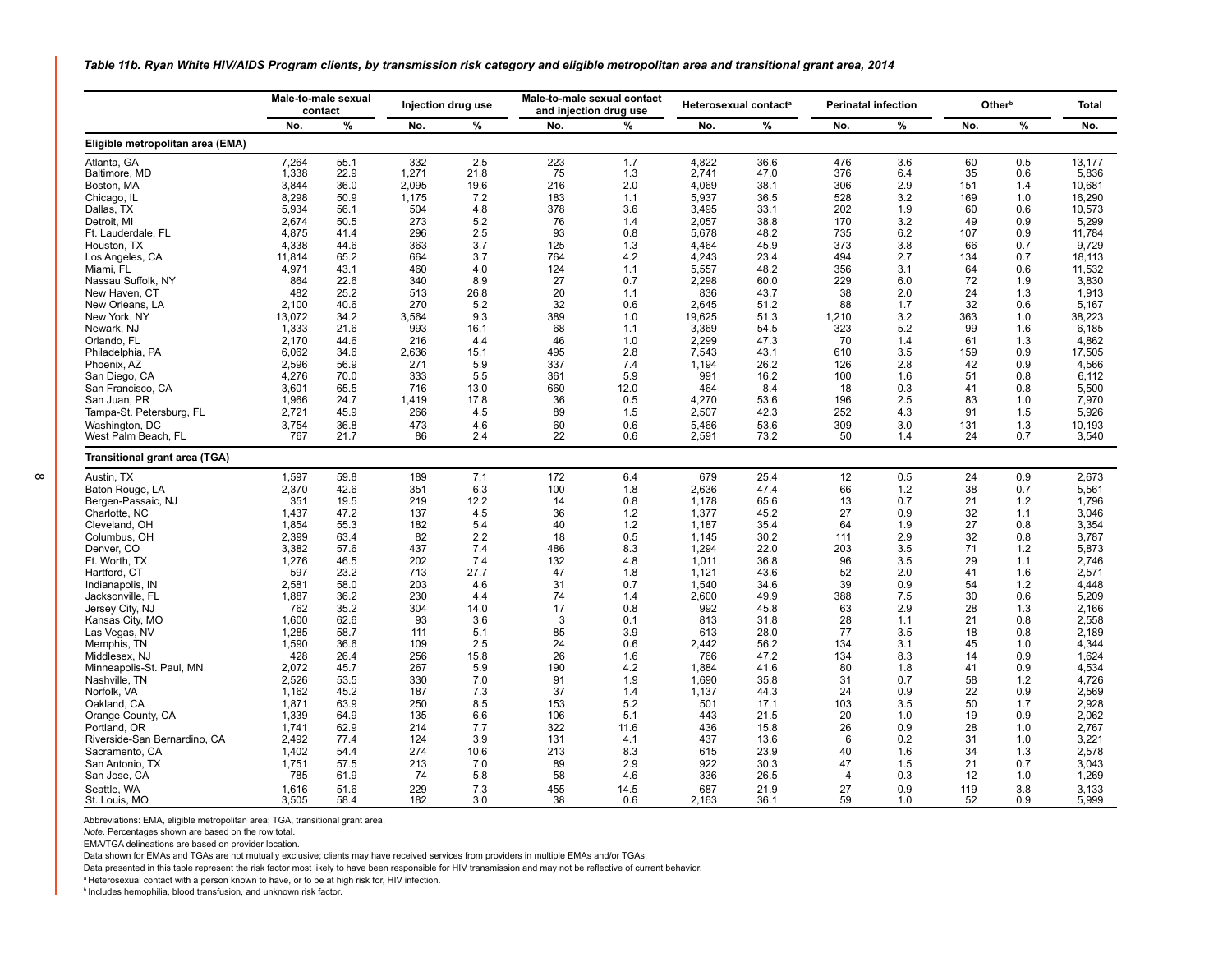<span id="page-7-0"></span>*Table 11b. Ryan White HIV/AIDS Program clients, by transmission risk category and eligible metropolitan area and transitional grant area, 2014*

|                                  | Male-to-male sexual<br>contact |      | Injection drug use |      | Male-to-male sexual contact<br>and injection drug use |      |        | Heterosexual contact <sup>a</sup> |                | <b>Perinatal infection</b> | Other <sup>b</sup> | <b>Total</b> |        |
|----------------------------------|--------------------------------|------|--------------------|------|-------------------------------------------------------|------|--------|-----------------------------------|----------------|----------------------------|--------------------|--------------|--------|
|                                  | No.                            | %    | No.                | %    | No.                                                   | %    | No.    | %                                 | No.            | $\%$                       | No.                | %            | No.    |
| Eligible metropolitan area (EMA) |                                |      |                    |      |                                                       |      |        |                                   |                |                            |                    |              |        |
| Atlanta, GA                      | 7,264                          | 55.1 | 332                | 2.5  | 223                                                   | 1.7  | 4,822  | 36.6                              | 476            | 3.6                        | 60                 | 0.5          | 13,177 |
| Baltimore, MD                    | 1,338                          | 22.9 | 1,271              | 21.8 | 75                                                    | 1.3  | 2,741  | 47.0                              | 376            | 6.4                        | 35                 | 0.6          | 5,836  |
| Boston, MA                       | 3,844                          | 36.0 | 2,095              | 19.6 | 216                                                   | 2.0  | 4.069  | 38.1                              | 306            | 2.9                        | 151                | 1.4          | 10,681 |
| Chicago, IL                      | 8,298                          | 50.9 | 1.175              | 7.2  | 183                                                   | 1.1  | 5,937  | 36.5                              | 528            | 3.2                        | 169                | 1.0          | 16.290 |
| Dallas, TX                       | 5,934                          | 56.1 | 504                | 4.8  | 378                                                   | 3.6  | 3,495  | 33.1                              | 202            | 1.9                        | 60                 | 0.6          | 10.573 |
| Detroit. MI                      | 2.674                          | 50.5 | 273                | 5.2  | 76                                                    | 1.4  | 2.057  | 38.8                              | 170            | 3.2                        | 49                 | 0.9          | 5,299  |
| Ft. Lauderdale, FL               | 4,875                          | 41.4 | 296                | 2.5  | 93                                                    | 0.8  | 5,678  | 48.2                              | 735            | 6.2                        | 107                | 0.9          | 11,784 |
| Houston, TX                      | 4,338                          | 44.6 | 363                | 3.7  | 125                                                   | 1.3  | 4,464  | 45.9                              | 373            | 3.8                        | 66                 | 0.7          | 9,729  |
| Los Angeles, CA                  | 11,814                         | 65.2 | 664                | 3.7  | 764                                                   | 4.2  | 4.243  | 23.4                              | 494            | 2.7                        | 134                | 0.7          | 18.113 |
| Miami, FL                        | 4,971                          | 43.1 | 460                | 4.0  | 124                                                   | 1.1  | 5,557  | 48.2                              | 356            | 3.1                        | 64                 | 0.6          | 11,532 |
| Nassau Suffolk, NY               | 864                            | 22.6 | 340                | 8.9  | 27                                                    | 0.7  | 2.298  | 60.0                              | 229            | 6.0                        | 72                 | 1.9          | 3,830  |
| New Haven, CT                    | 482                            | 25.2 | 513                | 26.8 | 20                                                    | 1.1  | 836    | 43.7                              | 38             | 2.0                        | 24                 | 1.3          | 1,913  |
| New Orleans, LA                  | 2,100                          | 40.6 | 270                | 5.2  | 32                                                    | 0.6  | 2.645  | 51.2                              | 88             | 1.7                        | 32                 | 0.6          | 5,167  |
| New York, NY                     | 13,072                         | 34.2 | 3,564              | 9.3  | 389                                                   | 1.0  | 19,625 | 51.3                              | 1,210          | 3.2                        | 363                | 1.0          | 38,223 |
| Newark, NJ                       | 1.333                          | 21.6 | 993                | 16.1 | 68                                                    | 1.1  | 3.369  | 54.5                              | 323            | 5.2                        | 99                 | 1.6          | 6.185  |
| Orlando, FL                      | 2,170                          | 44.6 | 216                | 4.4  | 46                                                    | 1.0  | 2,299  | 47.3                              | 70             | 1.4                        | 61                 | 1.3          | 4,862  |
| Philadelphia, PA                 | 6.062                          | 34.6 | 2.636              | 15.1 | 495                                                   | 2.8  | 7.543  | 43.1                              | 610            | 3.5                        | 159                | 0.9          | 17.505 |
| Phoenix, AZ                      | 2,596                          | 56.9 | 271                | 5.9  | 337                                                   | 7.4  | 1,194  | 26.2                              | 126            | 2.8                        | 42                 | 0.9          | 4,566  |
| San Diego, CA                    | 4.276                          | 70.0 | 333                | 5.5  | 361                                                   | 5.9  | 991    | 16.2                              | 100            | 1.6                        | 51                 | 0.8          | 6.112  |
| San Francisco, CA                | 3,601                          | 65.5 | 716                | 13.0 | 660                                                   | 12.0 | 464    | 8.4                               | 18             | 0.3                        | 41                 | 0.8          | 5,500  |
| San Juan, PR                     | 1.966                          | 24.7 | 1.419              | 17.8 | 36                                                    | 0.5  | 4.270  | 53.6                              | 196            | 2.5                        | 83                 | 1.0          | 7.970  |
| Tampa-St. Petersburg, FL         | 2,721                          | 45.9 | 266                | 4.5  | 89                                                    | 1.5  | 2,507  | 42.3                              | 252            | 4.3                        | 91                 | 1.5          | 5,926  |
| Washington, DC                   | 3,754                          | 36.8 | 473                | 4.6  | 60                                                    | 0.6  | 5,466  | 53.6                              | 309            | 3.0                        | 131                | 1.3          | 10,193 |
| West Palm Beach, FL              | 767                            | 21.7 | 86                 | 2.4  | 22                                                    | 0.6  | 2,591  | 73.2                              | 50             | 1.4                        | 24                 | 0.7          | 3,540  |
| Transitional grant area (TGA)    |                                |      |                    |      |                                                       |      |        |                                   |                |                            |                    |              |        |
| Austin, TX                       | 1,597                          | 59.8 | 189                | 7.1  | 172                                                   | 6.4  | 679    | 25.4                              | 12             | 0.5                        | 24                 | 0.9          | 2,673  |
| Baton Rouge, LA                  | 2,370                          | 42.6 | 351                | 6.3  | 100                                                   | 1.8  | 2,636  | 47.4                              | 66             | 1.2                        | 38                 | 0.7          | 5,561  |
| Bergen-Passaic, NJ               | 351                            | 19.5 | 219                | 12.2 | 14                                                    | 0.8  | 1,178  | 65.6                              | 13             | 0.7                        | 21                 | 1.2          | 1,796  |
| Charlotte, NC                    | 1,437                          | 47.2 | 137                | 4.5  | 36                                                    | 1.2  | 1.377  | 45.2                              | 27             | 0.9                        | 32                 | 1.1          | 3.046  |
| Cleveland, OH                    | 1,854                          | 55.3 | 182                | 5.4  | 40                                                    | 1.2  | 1,187  | 35.4                              | 64             | 1.9                        | 27                 | 0.8          | 3,354  |
| Columbus, OH                     | 2,399                          | 63.4 | 82                 | 2.2  | 18                                                    | 0.5  | 1.145  | 30.2                              | 111            | 2.9                        | 32                 | 0.8          | 3.787  |
| Denver, CO                       | 3,382                          | 57.6 | 437                | 7.4  | 486                                                   | 8.3  | 1,294  | 22.0                              | 203            | 3.5                        | 71                 | 1.2          | 5,873  |
| Ft. Worth, TX                    | 1,276                          | 46.5 | 202                | 7.4  | 132                                                   | 4.8  | 1.011  | 36.8                              | 96             | 3.5                        | 29                 | 1.1          | 2.746  |
| Hartford, CT                     | 597                            | 23.2 | 713                | 27.7 | 47                                                    | 1.8  | 1,121  | 43.6                              | 52             | 2.0                        | 41                 | 1.6          | 2,571  |
| Indianapolis, IN                 | 2,581                          | 58.0 | 203                | 4.6  | 31                                                    | 0.7  | 1,540  | 34.6                              | 39             | 0.9                        | 54                 | 1.2          | 4,448  |
| Jacksonville, FL                 | 1,887                          | 36.2 | 230                | 4.4  | 74                                                    | 1.4  | 2,600  | 49.9                              | 388            | 7.5                        | 30                 | 0.6          | 5,209  |
| Jersey City, NJ                  | 762                            | 35.2 | 304                | 14.0 | 17                                                    | 0.8  | 992    | 45.8                              | 63             | 2.9                        | 28                 | 1.3          | 2,166  |
| Kansas City, MO                  | 1,600                          | 62.6 | 93                 | 3.6  | 3                                                     | 0.1  | 813    | 31.8                              | 28             | 1.1                        | 21                 | 0.8          | 2,558  |
| Las Vegas, NV                    | 1,285                          | 58.7 | 111                | 5.1  | 85                                                    | 3.9  | 613    | 28.0                              | 77             | 3.5                        | 18                 | 0.8          | 2,189  |
| Memphis, TN                      | 1,590                          | 36.6 | 109                | 2.5  | 24                                                    | 0.6  | 2,442  | 56.2                              | 134            | 3.1                        | 45                 | 1.0          | 4,344  |
| Middlesex, NJ                    | 428                            | 26.4 | 256                | 15.8 | 26                                                    | 1.6  | 766    | 47.2                              | 134            | 8.3                        | 14                 | 0.9          | 1,624  |
| Minneapolis-St. Paul, MN         | 2,072                          | 45.7 | 267                | 5.9  | 190                                                   | 4.2  | 1,884  | 41.6                              | 80             | 1.8                        | 41                 | 0.9          | 4,534  |
| Nashville, TN                    | 2,526                          | 53.5 | 330                | 7.0  | 91                                                    | 1.9  | 1,690  | 35.8                              | 31             | 0.7                        | 58                 | 1.2          | 4,726  |
| Norfolk, VA                      | 1,162                          | 45.2 | 187                | 7.3  | 37                                                    | 1.4  | 1,137  | 44.3                              | 24             | 0.9                        | 22                 | 0.9          | 2,569  |
| Oakland, CA                      | 1,871                          | 63.9 | 250                | 8.5  | 153                                                   | 5.2  | 501    | 17.1                              | 103            | 3.5                        | 50                 | 1.7          | 2,928  |
| Orange County, CA                | 1,339                          | 64.9 | 135                | 6.6  | 106                                                   | 5.1  | 443    | 21.5                              | 20             | 1.0                        | 19                 | 0.9          | 2,062  |
| Portland, OR                     | 1,741                          | 62.9 | 214                | 7.7  | 322                                                   | 11.6 | 436    | 15.8                              | 26             | 0.9                        | 28                 | 1.0          | 2.767  |
| Riverside-San Bernardino, CA     | 2,492                          | 77.4 | 124                | 3.9  | 131                                                   | 4.1  | 437    | 13.6                              | 6              | 0.2                        | 31                 | 1.0          | 3,221  |
| Sacramento, CA                   | 1,402                          | 54.4 | 274                | 10.6 | 213                                                   | 8.3  | 615    | 23.9                              | 40             | 1.6                        | 34                 | 1.3          | 2,578  |
| San Antonio, TX                  | 1,751                          | 57.5 | 213                | 7.0  | 89                                                    | 2.9  | 922    | 30.3                              | 47             | 1.5                        | 21                 | 0.7          | 3,043  |
| San Jose, CA                     | 785                            | 61.9 | 74                 | 5.8  | 58                                                    | 4.6  | 336    | 26.5                              | $\overline{4}$ | 0.3                        | 12                 | 1.0          | 1,269  |
| Seattle, WA                      | 1.616                          | 51.6 | 229                | 7.3  | 455                                                   | 14.5 | 687    | 21.9                              | 27             | 0.9                        | 119                | 3.8          | 3,133  |
| St. Louis, MO                    | 3.505                          | 58.4 | 182                | 3.0  | 38                                                    | 0.6  | 2.163  | 36.1                              | 59             | 1.0                        | 52                 | 0.9          | 5.999  |

Abbreviations: EMA, eligible metropolitan area; TGA, transitional grant area.

*Note.* Percentages shown are based on the row total.

EMA/TGA delineations are based on provider location.

Data shown for EMAs and TGAs are not mutually exclusive; clients may have received services from providers in multiple EMAs and/or TGAs.

Data presented in this table represent the risk factor most likely to have been responsible for HIV transmission and may not be reflective of current behavior.

<sup>a</sup> Heterosexual contact with a person known to have, or to be at high risk for, HIV infection.

**b** Includes hemophilia, blood transfusion, and unknown risk factor.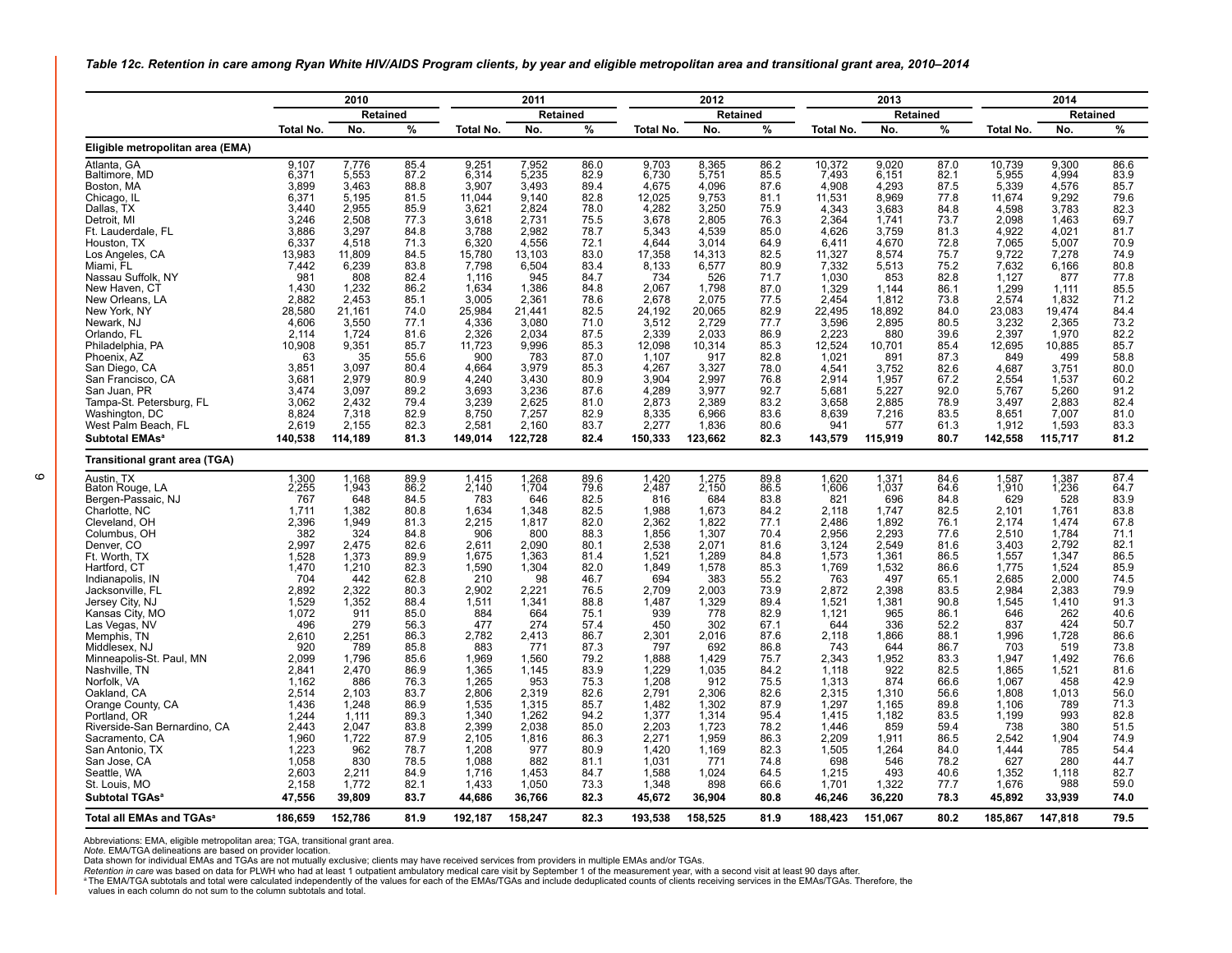<span id="page-8-0"></span>*Table 12c. Retention in care among Ryan White HIV/AIDS Program clients, by year and eligible metropolitan area and transitional grant area, 2010–2014*

|                                                   | 2010            |                 | 2011         |                 |                 |              | 2012            |                  |              | 2013             |                 | 2014         |                 |                 |               |  |
|---------------------------------------------------|-----------------|-----------------|--------------|-----------------|-----------------|--------------|-----------------|------------------|--------------|------------------|-----------------|--------------|-----------------|-----------------|---------------|--|
|                                                   |                 | Retained        |              |                 | <b>Retained</b> |              |                 | Retained         |              |                  | Retained        |              |                 | <b>Retained</b> |               |  |
|                                                   | Total No.       | No.             | %            | Total No.       | No.             | %            | Total No.       | No.              | %            | <b>Total No.</b> | No.             | %            | Total No.       | No.             | $\frac{0}{0}$ |  |
| Eligible metropolitan area (EMA)                  |                 |                 |              |                 |                 |              |                 |                  |              |                  |                 |              |                 |                 |               |  |
| Atlanta, GA                                       | 9,107           | 7,776<br>5,553  | 85.4<br>87.2 | 9,251<br>6,314  | 7,952<br>5,235  | 86.0<br>82.9 | 9,703<br>6,730  | 8,365<br>5,751   | 86.2<br>85.5 | 10,372<br>7,493  | 9,020<br>6,151  | 87.0         | 10,739<br>5,955 | 9,300           | 86.6<br>83.9  |  |
| Baltimore, MD<br>Boston, MA                       | 6,371<br>3,899  | 3.463           | 88.8         | 3.907           | 3.493           | 89.4         | 4,675           | 4,096            | 87.6         | 4.908            | 4,293           | 82.1<br>87.5 | 5,339           | 4,994<br>4,576  | 85.7          |  |
| Chicago, IL                                       | 6,371           | 5,195           | 81.5         | 11.044          | 9.140           | 82.8         | 12,025          | 9,753            | 81.1         | 11,531           | 8,969           | 77.8         | 11,674          | 9,292           | 79.6          |  |
| Dallas, TX                                        | 3.440           | 2.955           | 85.9         | 3,621           | 2.824           | 78.0         | 4,282           | 3,250            | 75.9         | 4.343            | 3.683           | 84.8         | 4,598           | 3,783           | 82.3          |  |
| Detroit. MI                                       | 3.246           | 2.508           | 77.3         | 3.618           | 2.731           | 75.5         | 3,678           | 2.805            | 76.3         | 2.364            | 1.741           | 73.7         | 2.098           | 1.463           | 69.7          |  |
| Ft. Lauderdale, FL                                | 3,886           | 3,297           | 84.8         | 3.788           | 2.982           | 78.7         | 5,343           | 4.539            | 85.0         | 4.626            | 3.759           | 81.3         | 4,922           | 4,021           | 81.7          |  |
| Houston, TX                                       | 6,337           | 4,518           | 71.3         | 6,320           | 4,556           | 72.1         | 4,644           | 3,014            | 64.9         | 6.411            | 4,670           | 72.8         | 7,065           | 5,007           | 70.9          |  |
| Los Angeles, CA                                   | 13.983          | 11.809          | 84.5         | 15.780          | 13.103          | 83.0         | 17,358          | 14.313           | 82.5         | 11.327           | 8.574           | 75.7         | 9.722           | 7.278           | 74.9          |  |
| Miami, FL                                         | 7,442           | 6,239           | 83.8         | 7,798           | 6,504           | 83.4         | 8,133           | 6,577            | 80.9         | 7,332            | 5,513           | 75.2         | 7,632           | 6,166           | 80.8          |  |
| Nassau Suffolk, NY                                | 981             | 808             | 82.4         | 1.116           | 945             | 84.7         | 734             | 526              | 71.7         | 1.030            | 853             | 82.8         | 1,127           | 877             | 77.8          |  |
| New Haven, CT                                     | 1.430           | 1,232           | 86.2         | 1.634           | 1.386           | 84.8         | 2,067           | 1,798            | 87.0         | 1,329            | 1.144           | 86.1         | 1,299           | 1.111           | 85.5          |  |
| New Orleans, LA<br>New York, NY                   | 2,882<br>28.580 | 2,453<br>21,161 | 85.1<br>74.0 | 3.005<br>25.984 | 2,361<br>21,441 | 78.6<br>82.5 | 2,678<br>24,192 | 2,075<br>20,065  | 77.5<br>82.9 | 2.454<br>22,495  | 1,812<br>18.892 | 73.8<br>84.0 | 2,574<br>23,083 | 1,832<br>19.474 | 71.2<br>84.4  |  |
| Newark, NJ                                        | 4,606           | 3,550           | 77.1         | 4,336           | 3,080           | 71.0         | 3,512           | 2,729            | 77.7         | 3,596            | 2,895           | 80.5         | 3,232           | 2.365           | 73.2          |  |
| Orlando, FL                                       | 2.114           | 1,724           | 81.6         | 2,326           | 2.034           | 87.5         | 2,339           | 2.033            | 86.9         | 2.223            | 880             | 39.6         | 2,397           | 1.970           | 82.2          |  |
| Philadelphia, PA                                  | 10,908          | 9.351           | 85.7         | 11.723          | 9.996           | 85.3         | 12.098          | 10.314           | 85.3         | 12.524           | 10.701          | 85.4         | 12.695          | 10.885          | 85.7          |  |
| Phoenix, AZ                                       | 63              | 35              | 55.6         | 900             | 783             | 87.0         | 1,107           | 917              | 82.8         | 1,021            | 891             | 87.3         | 849             | 499             | 58.8          |  |
| San Diego, CA                                     | 3,851           | 3,097           | 80.4         | 4,664           | 3,979           | 85.3         | 4,267           | 3,327            | 78.0         | 4.541            | 3,752           | 82.6         | 4,687           | 3,751           | 80.0          |  |
| San Francisco, CA                                 | 3,681           | 2,979           | 80.9         | 4,240           | 3.430           | 80.9         | 3,904           | 2,997            | 76.8         | 2.914            | 1,957           | 67.2         | 2.554           | 1,537           | 60.2          |  |
| San Juan, PR                                      | 3,474           | 3,097           | 89.2         | 3,693           | 3,236           | 87.6         | 4,289           | 3,977            | 92.7         | 5,681            | 5,227           | 92.0         | 5,767           | 5,260           | 91.2          |  |
| Tampa-St. Petersburg, FL                          | 3.062           | 2.432           | 79.4         | 3.239           | 2.625           | 81.0         | 2,873           | 2,389            | 83.2         | 3.658            | 2.885           | 78.9         | 3.497           | 2.883           | 82.4          |  |
| Washington, DC                                    | 8,824<br>2,619  | 7,318<br>2,155  | 82.9<br>82.3 | 8.750<br>2,581  | 7.257<br>2,160  | 82.9<br>83.7 | 8,335<br>2,277  | 6.966            | 83.6<br>80.6 | 8.639<br>941     | 7,216<br>577    | 83.5<br>61.3 | 8,651<br>1,912  | 7,007<br>1,593  | 81.0<br>83.3  |  |
| West Palm Beach, FL<br>Subtotal EMAs <sup>a</sup> | 140,538         | 114.189         | 81.3         | 149.014         | 122,728         | 82.4         | 150,333         | 1,836<br>123.662 | 82.3         | 143,579          | 115,919         | 80.7         | 142,558         | 115,717         | 81.2          |  |
|                                                   |                 |                 |              |                 |                 |              |                 |                  |              |                  |                 |              |                 |                 |               |  |
| Transitional grant area (TGA)                     |                 |                 |              |                 |                 |              |                 |                  |              |                  |                 |              |                 |                 |               |  |
| Austin. TX<br>Baton Rouge, LA                     | 1,300<br>2,255  | 1,168<br>1,943  | 89.9<br>86.2 | 1,415<br>2,140  | 1,268<br>1,704  | 89.6<br>79.6 | 1,420<br>2,487  | 1,275<br>2,150   | 89.8<br>86.5 | 1,620<br>1,606   | 1,371<br>1,037  | 84.6<br>64.6 | 1,587<br>1,910  | 1,387<br>1,236  | 87.4<br>64.7  |  |
| Bergen-Passaic, NJ                                | 767             | 648             | 84.5         | 783             | 646             | 82.5         | 816             | 684              | 83.8         | 821              | 696             | 84.8         | 629             | 528             | 83.9          |  |
| Charlotte, NC                                     | 1,711           | 1,382           | 80.8         | 1,634           | 1,348           | 82.5         | 1,988           | 1,673            | 84.2         | 2,118            | 1,747           | 82.5         | 2,101           | 1,761           | 83.8          |  |
| Cleveland, OH                                     | 2,396           | 1,949           | 81.3         | 2,215           | 1,817           | 82.0         | 2,362           | 1,822            | 77.1         | 2,486            | 1,892           | 76.1         | 2,174           | 1,474           | 67.8          |  |
| Columbus, OH                                      | 382             | 324             | 84.8         | 906             | 800             | 88.3         | 1,856           | 1,307            | 70.4         | 2,956            | 2,293           | 77.6         | 2,510           | 1,784           | 71.1          |  |
| Denver, CO                                        | 2,997           | 2,475           | 82.6         | 2.611           | 2,090           | 80.1         | 2,538           | 2,071            | 81.6         | 3,124            | 2,549           | 81.6         | 3,403           | 2,792           | 82.1          |  |
| Ft. Worth, TX                                     | 1,528           | 1,373           | 89.9         | 1,675           | 1,363           | 81.4         | 1,521           | 1,289            | 84.8         | 1,573            | 1,361           | 86.5         | 1,557           | 1,347           | 86.5          |  |
| Hartford, CT<br>Indianapolis, IN                  | 1,470<br>704    | 1,210<br>442    | 82.3<br>62.8 | 1,590<br>210    | 1,304<br>98     | 82.0<br>46.7 | 1,849<br>694    | 1,578<br>383     | 85.3<br>55.2 | 1,769<br>763     | 1,532<br>497    | 86.6<br>65.1 | 1,775<br>2.685  | 1,524<br>2.000  | 85.9<br>74.5  |  |
| Jacksonville, FL                                  | 2.892           | 2,322           | 80.3         | 2.902           | 2.221           | 76.5         | 2.709           | 2.003            | 73.9         | 2.872            | 2.398           | 83.5         | 2.984           | 2.383           | 79.9          |  |
| Jersey City, NJ                                   | 1,529           | 1,352           | 88.4         | 1,511           | 1,341           | 88.8         | 1,487           | 1,329            | 89.4         | 1.521            | 1,381           | 90.8         | 1.545           | 1.410           | 91.3          |  |
| Kansas City, MO                                   | 1.072           | 911             | 85.0         | 884             | 664             | 75.1         | 939             | 778              | 82.9         | 1.121            | 965             | 86.1         | 646             | 262             | 40.6          |  |
| Las Vegas, NV                                     | 496             | 279             | 56.3         | 477             | 274             | 57.4         | 450             | 302              | 67.1         | 644              | 336             | 52.2         | 837             | 424             | 50.7          |  |
| Memphis, TN                                       | 2,610           | 2,251           | 86.3         | 2.782           | 2.413           | 86.7         | 2,301           | 2.016            | 87.6         | 2.118            | 1.866           | 88.1         | 1.996           | 1.728           | 86.6          |  |
| Middlesex, NJ                                     | 920             | 789             | 85.8         | 883             | 771             | 87.3         | 797             | 692              | 86.8         | 743              | 644             | 86.7         | 703             | 519             | 73.8          |  |
| Minneapolis-St. Paul, MN                          | 2,099           | 1,796           | 85.6         | 1.969           | 1.560           | 79.2         | 1,888           | 1,429            | 75.7         | 2.343            | 1,952           | 83.3         | 1,947           | 1,492           | 76.6          |  |
| Nashville, TN<br>Norfolk, VA                      | 2.841<br>1.162  | 2.470<br>886    | 86.9<br>76.3 | 1.365<br>1.265  | 1.145<br>953    | 83.9<br>75.3 | 1.229<br>1,208  | 1.035<br>912     | 84.2<br>75.5 | 1.118<br>1,313   | 922<br>874      | 82.5<br>66.6 | 1.865<br>1,067  | 1.521<br>458    | 81.6<br>42.9  |  |
| Oakland, CA                                       | 2,514           | 2,103           | 83.7         | 2.806           | 2.319           | 82.6         | 2,791           | 2,306            | 82.6         | 2.315            | 1,310           | 56.6         | 1,808           | 1,013           | 56.0          |  |
| Orange County, CA                                 | 1.436           | 1.248           | 86.9         | 1.535           | 1.315           | 85.7         | 1.482           | 1.302            | 87.9         | 1.297            | 1.165           | 89.8         | 1.106           | 789             | 71.3          |  |
| Portland, OR                                      | 1,244           | 1,111           | 89.3         | 1,340           | 1,262           | 94.2         | 1,377           | 1,314            | 95.4         | 1,415            | 1,182           | 83.5         | 1,199           | 993             | 82.8          |  |
| Riverside-San Bernardino, CA                      | 2.443           | 2.047           | 83.8         | 2.399           | 2.038           | 85.0         | 2,203           | 1,723            | 78.2         | 1.446            | 859             | 59.4         | 738             | 380             | 51.5          |  |
| Sacramento, CA                                    | 1,960           | 1,722           | 87.9         | 2,105           | 1,816           | 86.3         | 2,271           | 1,959            | 86.3         | 2,209            | 1,911           | 86.5         | 2,542           | 1,904           | 74.9          |  |
| San Antonio, TX                                   | 1,223           | 962             | 78.7         | 1.208           | 977             | 80.9         | 1,420           | 1,169            | 82.3         | 1,505            | 1,264           | 84.0         | 1,444           | 785             | 54.4          |  |
| San Jose, CA                                      | 1.058           | 830             | 78.5         | 1.088           | 882             | 81.1         | 1.031           | 771              | 74.8         | 698              | 546             | 78.2         | 627             | 280             | 44.7          |  |
| Seattle, WA                                       | 2,603           | 2,211           | 84.9         | 1.716           | 1.453           | 84.7         | 1,588           | 1,024            | 64.5         | 1.215            | 493             | 40.6         | 1,352           | 1,118           | 82.7          |  |
| St. Louis, MO                                     | 2,158           | 1,772           | 82.1         | 1,433           | 1,050           | 73.3         | 1,348           | 898              | 66.6         | 1,701            | 1,322           | 77.7         | 1,676           | 988             | 59.0          |  |
| Subtotal TGAs <sup>®</sup>                        | 47,556          | 39.809          | 83.7         | 44,686          | 36,766          | 82.3         | 45,672          | 36.904           | 80.8         | 46,246           | 36,220          | 78.3         | 45.892          | 33,939          | 74.0          |  |
| Total all EMAs and TGAs <sup>a</sup>              | 186.659         | 152.786         | 81.9         | 192.187         | 158,247         | 82.3         | 193,538         | 158.525          | 81.9         | 188,423          | 151.067         | 80.2         | 185.867         | 147.818         | 79.5          |  |

Abbreviations: EMA, eligible metropolitan area; TGA, transitional grant area.

*Note.* EMA/TGA delineations are based on provider location.

Data shown for individual EMAs and TGAs are not mutually exclusive; clients may have received services from providers in multiple EMAs and/or TGAs.<br>Retention in care was based on data for PLWH who had at least 1 outpatient

values in each column do not sum to the column subtotals and total.